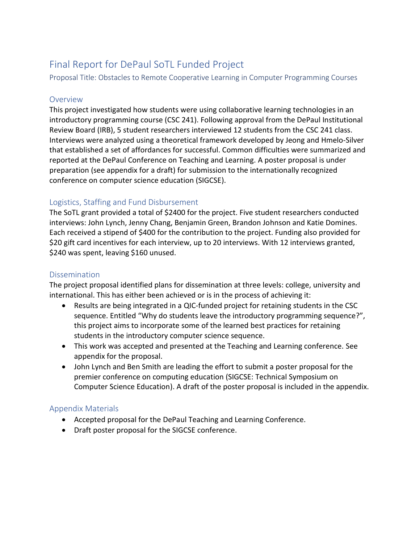# Final Report for DePaul SoTL Funded Project

Proposal Title: Obstacles to Remote Cooperative Learning in Computer Programming Courses

# **Overview**

This project investigated how students were using collaborative learning technologies in an introductory programming course (CSC 241). Following approval from the DePaul Institutional Review Board (IRB), 5 student researchers interviewed 12 students from the CSC 241 class. Interviews were analyzed using a theoretical framework developed by Jeong and Hmelo-Silver that established a set of affordances for successful. Common difficulties were summarized and reported at the DePaul Conference on Teaching and Learning. A poster proposal is under preparation (see appendix for a draft) for submission to the internationally recognized conference on computer science education (SIGCSE).

# Logistics, Staffing and Fund Disbursement

The SoTL grant provided a total of \$2400 for the project. Five student researchers conducted interviews: John Lynch, Jenny Chang, Benjamin Green, Brandon Johnson and Katie Domines. Each received a stipend of \$400 for the contribution to the project. Funding also provided for \$20 gift card incentives for each interview, up to 20 interviews. With 12 interviews granted, \$240 was spent, leaving \$160 unused.

# **Dissemination**

The project proposal identified plans for dissemination at three levels: college, university and international. This has either been achieved or is in the process of achieving it:

- Results are being integrated in a QIC-funded project for retaining students in the CSC sequence. Entitled "Why do students leave the introductory programming sequence?", this project aims to incorporate some of the learned best practices for retaining students in the introductory computer science sequence.
- This work was accepted and presented at the Teaching and Learning conference. See appendix for the proposal.
- John Lynch and Ben Smith are leading the effort to submit a poster proposal for the premier conference on computing education (SIGCSE: Technical Symposium on Computer Science Education). A draft of the poster proposal is included in the appendix.

# Appendix Materials

- Accepted proposal for the DePaul Teaching and Learning Conference.
- Draft poster proposal for the SIGCSE conference.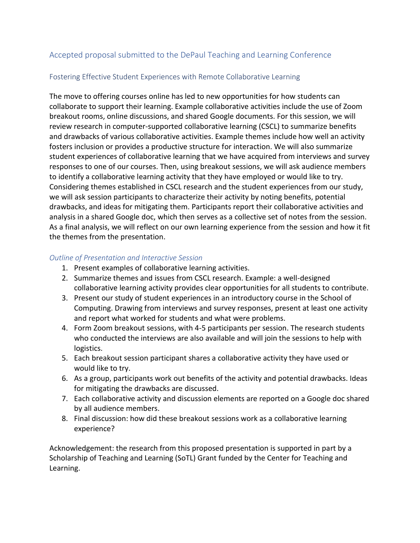# Accepted proposal submitted to the DePaul Teaching and Learning Conference

## Fostering Effective Student Experiences with Remote Collaborative Learning

The move to offering courses online has led to new opportunities for how students can collaborate to support their learning. Example collaborative activities include the use of Zoom breakout rooms, online discussions, and shared Google documents. For this session, we will review research in computer-supported collaborative learning (CSCL) to summarize benefits and drawbacks of various collaborative activities. Example themes include how well an activity fosters inclusion or provides a productive structure for interaction. We will also summarize student experiences of collaborative learning that we have acquired from interviews and survey responses to one of our courses. Then, using breakout sessions, we will ask audience members to identify a collaborative learning activity that they have employed or would like to try. Considering themes established in CSCL research and the student experiences from our study, we will ask session participants to characterize their activity by noting benefits, potential drawbacks, and ideas for mitigating them. Participants report their collaborative activities and analysis in a shared Google doc, which then serves as a collective set of notes from the session. As a final analysis, we will reflect on our own learning experience from the session and how it fit the themes from the presentation.

## *Outline of Presentation and Interactive Session*

- 1. Present examples of collaborative learning activities.
- 2. Summarize themes and issues from CSCL research. Example: a well-designed collaborative learning activity provides clear opportunities for all students to contribute.
- 3. Present our study of student experiences in an introductory course in the School of Computing. Drawing from interviews and survey responses, present at least one activity and report what worked for students and what were problems.
- 4. Form Zoom breakout sessions, with 4-5 participants per session. The research students who conducted the interviews are also available and will join the sessions to help with logistics.
- 5. Each breakout session participant shares a collaborative activity they have used or would like to try.
- 6. As a group, participants work out benefits of the activity and potential drawbacks. Ideas for mitigating the drawbacks are discussed.
- 7. Each collaborative activity and discussion elements are reported on a Google doc shared by all audience members.
- 8. Final discussion: how did these breakout sessions work as a collaborative learning experience?

Acknowledgement: the research from this proposed presentation is supported in part by a Scholarship of Teaching and Learning (SoTL) Grant funded by the Center for Teaching and Learning.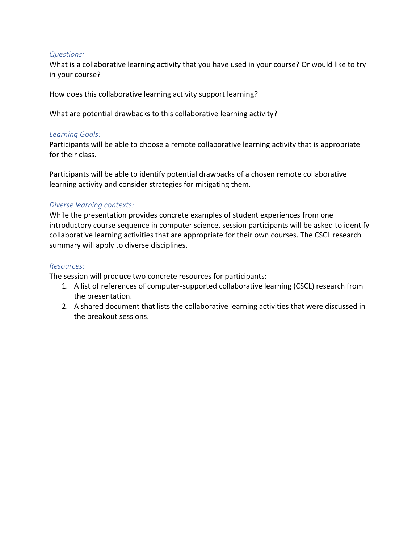## *Questions:*

What is a collaborative learning activity that you have used in your course? Or would like to try in your course?

How does this collaborative learning activity support learning?

What are potential drawbacks to this collaborative learning activity?

## *Learning Goals:*

Participants will be able to choose a remote collaborative learning activity that is appropriate for their class.

Participants will be able to identify potential drawbacks of a chosen remote collaborative learning activity and consider strategies for mitigating them.

## *Diverse learning contexts:*

While the presentation provides concrete examples of student experiences from one introductory course sequence in computer science, session participants will be asked to identify collaborative learning activities that are appropriate for their own courses. The CSCL research summary will apply to diverse disciplines.

## *Resources:*

The session will produce two concrete resources for participants:

- 1. A list of references of computer-supported collaborative learning (CSCL) research from the presentation.
- 2. A shared document that lists the collaborative learning activities that were discussed in the breakout sessions.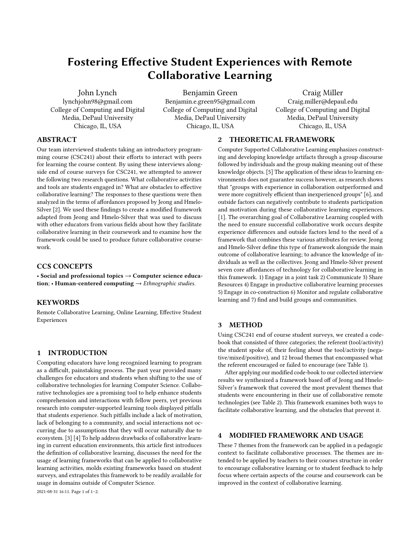# Fostering Effective Student Experiences with Remote Collaborative Learning

John Lynch

lynchjohn98@gmail.com College of Computing and Digital Media, DePaul University Chicago, IL, USA

Benjamin Green Benjamin.e.green95@gmail.com College of Computing and Digital Media, DePaul University Chicago, IL, USA

[Craig Miller](https://orcid.org/EDIT THIS W/ CORRECT INFO) Craig.miller@depaul.edu College of Computing and Digital Media, DePaul University Chicago, IL, USA

## ABSTRACT

Our team interviewed students taking an introductory programming course (CSC241) about their efforts to interact with peers for learning the course content. By using these interviews alongside end of course surveys for CSC241, we attempted to answer the following two research questions. What collaborative activities and tools are students engaged in? What are obstacles to effective collaborative learning? The responses to these questions were then analyzed in the terms of affordances proposed by Jeong and Hmelo-Silver [\[2\]](#page-4-0). We used these findings to create a modified framework adapted from Jeong and Hmelo-Silver that was used to discuss with other educators from various fields about how they facilitate collaborative learning in their coursework and to examine how the framework could be used to produce future collaborative coursework.

## CCS CONCEPTS

• Social and professional topics  $\rightarrow$  Computer science education; • Human-centered computing  $\rightarrow$  *Ethnographic studies.* 

## **KEYWORDS**

Remote Collaborative Learning, Online Learning, Effective Student Experiences

### 1 INTRODUCTION

Computing educators have long recognized learning to program as a difficult, painstaking process. The past year provided many challenges for educators and students when shifting to the use of collaborative technologies for learning Computer Science. Collaborative technologies are a promising tool to help enhance students comprehension and interactions with fellow peers, yet previous research into computer-supported learning tools displayed pitfalls that students experience. Such pitfalls include a lack of motivation, lack of belonging to a community, and social interactions not occurring due to assumptions that they will occur naturally due to ecosystem. [\[3\]](#page-4-1) [\[4\]](#page-4-2) To help address drawbacks of collaborative learning in current education environments, this article first introduces the definition of collaborative learning, discusses the need for the usage of learning frameworks that can be applied to collaborative learning activities, molds existing frameworks based on student surveys, and extrapolates this framework to be readily available for usage in domains outside of Computer Science.

## 2 THEORETICAL FRAMEWORK

Computer Supported Collaborative Learning emphasizes constructing and developing knowledge artifacts through a group discourse followed by individuals and the group making meaning out of these knowledge objects. [\[5\]](#page-4-3) The application of these ideas to learning environments does not guarantee success however, as research shows that "groups with experience in collaboration outperformed and were more cognitively efficient than inexperienced groups" [\[6\]](#page-4-4), and outside factors can negatively contribute to students participation and motivation during these collaborative learning experiences. [\[1\]](#page-4-5). The overarching goal of Collaborative Learning coupled with the need to ensure successful collaborative work occurs despite experience differences and outside factors lend to the need of a framework that combines these various attributes for review. Jeong and Hmelo-Silver define this type of framework alongside the main outcome of collaborative learning; to advance the knowledge of individuals as well as the collectives. Jeong and Hmelo-Silver present seven core affordances of technology for collaborative learning in this framework. 1) Engage in a joint task 2) Communicate 3) Share Resources 4) Engage in productive collaborative learning processes 5) Engage in co-construction 6) Monitor and regulate collaborative learning and 7) find and build groups and communities.

## 3 METHOD

Using CSC241 end of course student surveys, we created a codebook that consisted of three categories; the referent (tool/activity) the student spoke of, their feeling about the tool/activity (negative/mixed/positive), and 12 broad themes that encompassed what the referent encouraged or failed to encourage (see Table [1\)](#page-4-6).

After applying our modified code-book to our collected interview results we synthesized a framework based off of Jeong and Hmelo-Silver's framework that covered the most prevalent themes that students were encountering in their use of collaborative remote technologies (see Table [2\)](#page-4-7). This framework examines both ways to facilitate collaborative learning, and the obstacles that prevent it.

## 4 MODIFIED FRAMEWORK AND USAGE

These 7 themes from the framework can be applied in a pedagogic context to facilitate collaborative processes. The themes are intended to be applied by teachers to their courses structure in order to encourage collaborative learning or to student feedback to help focus where certain aspects of the course and coursework can be improved in the context of collaborative learning.